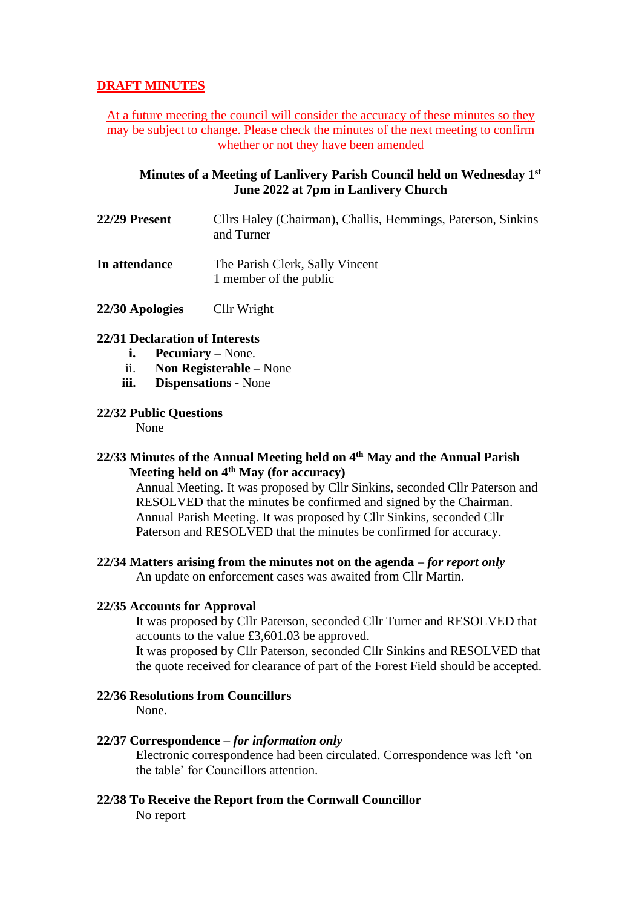# **DRAFT MINUTES**

At a future meeting the council will consider the accuracy of these minutes so they may be subject to change. Please check the minutes of the next meeting to confirm whether or not they have been amended

## **Minutes of a Meeting of Lanlivery Parish Council held on Wednesday 1 st June 2022 at 7pm in Lanlivery Church**

- **22/29 Present** Cllrs Haley (Chairman), Challis, Hemmings, Paterson, Sinkins and Turner
- **In attendance** The Parish Clerk, Sally Vincent 1 member of the public
- **22/30 Apologies** Cllr Wright

## **22/31 Declaration of Interests**

- **i. Pecuniary –** None.
- ii. **Non Registerable –** None
- **iii. Dispensations -** None

## **22/32 Public Questions**

None

# **22/33 Minutes of the Annual Meeting held on 4th May and the Annual Parish Meeting held on 4th May (for accuracy)**

Annual Meeting. It was proposed by Cllr Sinkins, seconded Cllr Paterson and RESOLVED that the minutes be confirmed and signed by the Chairman. Annual Parish Meeting. It was proposed by Cllr Sinkins, seconded Cllr Paterson and RESOLVED that the minutes be confirmed for accuracy.

## **22/34 Matters arising from the minutes not on the agenda –** *for report only*

An update on enforcement cases was awaited from Cllr Martin.

## **22/35 Accounts for Approval**

It was proposed by Cllr Paterson, seconded Cllr Turner and RESOLVED that accounts to the value £3,601.03 be approved.

It was proposed by Cllr Paterson, seconded Cllr Sinkins and RESOLVED that the quote received for clearance of part of the Forest Field should be accepted.

## **22/36 Resolutions from Councillors**

None.

## **22/37 Correspondence –** *for information only*

Electronic correspondence had been circulated. Correspondence was left 'on the table' for Councillors attention.

**22/38 To Receive the Report from the Cornwall Councillor** No report